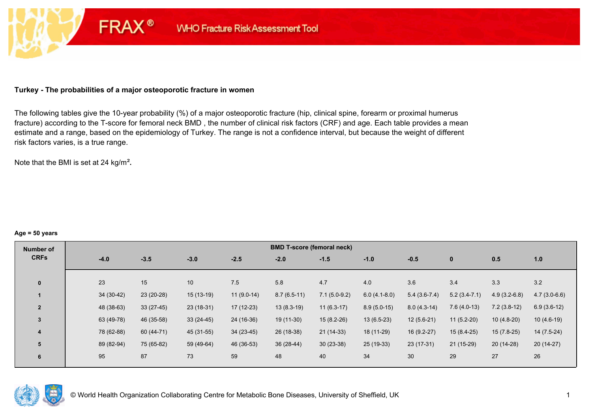### **Turkey - The probabilities of a major osteoporotic fracture in women**

**FRAX®** 

The following tables give the 10-year probability (%) of a major osteoporotic fracture (hip, clinical spine, forearm or proximal humerus fracture) according to the T-score for femoral neck BMD , the number of clinical risk factors (CRF) and age. Each table provides a mean estimate and a range, based on the epidemiology of Turkey. The range is not a confidence interval, but because the weight of different risk factors varies, is a true range.

Note that the BMI is set at 24 kg/m²**.** 

#### **Age = 50 years**

| Number of      |             |             |             |              | <b>BMD T-score (femoral neck)</b> |                |                |                 |                |                |                |
|----------------|-------------|-------------|-------------|--------------|-----------------------------------|----------------|----------------|-----------------|----------------|----------------|----------------|
| <b>CRFs</b>    | $-4.0$      | $-3.5$      | $-3.0$      | $-2.5$       | $-2.0$                            | $-1.5$         | $-1.0$         | $-0.5$          | $\bf{0}$       | 0.5            | 1.0            |
|                |             |             |             |              |                                   |                |                |                 |                |                |                |
| $\mathbf{0}$   | 23          | 15          | 10          | 7.5          | 5.8                               | 4.7            | 4.0            | 3.6             | 3.4            | 3.3            | 3.2            |
|                | $34(30-42)$ | 23 (20-28)  | $15(13-19)$ | $11(9.0-14)$ | $8.7(6.5-11)$                     | $7.1(5.0-9.2)$ | $6.0(4.1-8.0)$ | $5.4(3.6-7.4)$  | $5.2(3.4-7.1)$ | $4.9(3.2-6.8)$ | $4.7(3.0-6.6)$ |
| $\overline{2}$ | 48 (38-63)  | $33(27-45)$ | $23(18-31)$ | $17(12-23)$  | $13(8.3-19)$                      | $11(6.3-17)$   | $8.9(5.0-15)$  | $8.0(4.3-14)$   | $7.6(4.0-13)$  | $7.2(3.8-12)$  | $6.9(3.6-12)$  |
| $\overline{3}$ | 63 (49-78)  | 46 (35-58)  | $33(24-45)$ | 24 (16-36)   | 19 (11-30)                        | $15(8.2-26)$   | $13(6.5-23)$   | $12(5.6-21)$    | $11(5.2-20)$   | $10(4.8-20)$   | $10(4.6-19)$   |
| 4              | 78 (62-88)  | 60 (44-71)  | 45 (31-55)  | $34(23-45)$  | 26 (18-38)                        | $21(14-33)$    | 18 (11-29)     | $16(9.2-27)$    | $15(8.4-25)$   | $15(7.8-25)$   | $14(7.5-24)$   |
| 5              | 89 (82-94)  | 75 (65-82)  | 59 (49-64)  | 46 (36-53)   | 36 (28-44)                        | $30(23-38)$    | 25 (19-33)     | $23(17-31)$     | $21(15-29)$    | $20(14-28)$    | $20(14-27)$    |
| 6              | 95          | 87          | 73          | 59           | 48                                | 40             | 34             | 30 <sup>°</sup> | 29             | 27             | 26             |

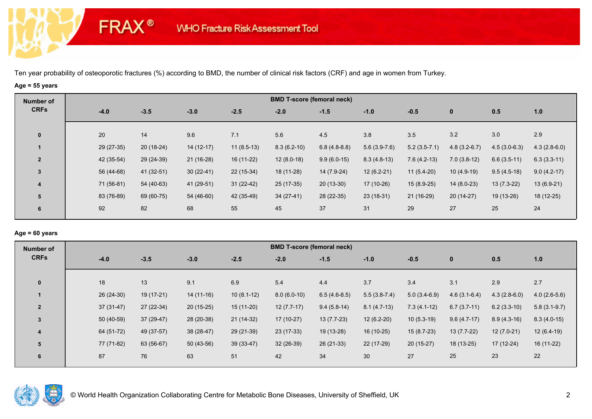# **Age = 55 years**

**FRAX®** 

| Number of               |            |             |             |              |               | <b>BMD T-score (femoral neck)</b> |                |                |                |                |                |
|-------------------------|------------|-------------|-------------|--------------|---------------|-----------------------------------|----------------|----------------|----------------|----------------|----------------|
| <b>CRFs</b>             | $-4.0$     | $-3.5$      | $-3.0$      | $-2.5$       | $-2.0$        | $-1.5$                            | $-1.0$         | $-0.5$         | $\mathbf{0}$   | 0.5            | 1.0            |
| $\mathbf{0}$            | 20         | 14          | 9.6         | 7.1          | 5.6           | 4.5                               | 3.8            | 3.5            | 3.2            | 3.0            | 2.9            |
|                         | 29 (27-35) | $20(18-24)$ | $14(12-17)$ | $11(8.5-13)$ | $8.3(6.2-10)$ | $6.8(4.8-8.8)$                    | $5.6(3.9-7.6)$ | $5.2(3.5-7.1)$ | $4.8(3.2-6.7)$ | $4.5(3.0-6.3)$ | $4.3(2.8-6.0)$ |
| $\overline{2}$          | 42 (35-54) | 29 (24-39)  | $21(16-28)$ | 16 (11-22)   | $12(8.0-18)$  | $9.9(6.0-15)$                     | $8.3(4.8-13)$  | $7.6(4.2-13)$  | $7.0(3.8-12)$  | $6.6(3.5-11)$  | $6.3(3.3-11)$  |
| 3                       | 56 (44-68) | 41 (32-51)  | $30(22-41)$ | $22(15-34)$  | 18 (11-28)    | 14 (7.9-24)                       | $12(6.2-21)$   | $11(5.4-20)$   | $10(4.9-19)$   | $9.5(4.5-18)$  | $9.0(4.2-17)$  |
| $\overline{\mathbf{4}}$ | 71 (56-81) | 54 (40-63)  | 41 (29-51)  | $31(22-42)$  | 25 (17-35)    | $20(13-30)$                       | 17 (10-26)     | $15(8.9-25)$   | $14(8.0-23)$   | $13(7.3-22)$   | $13(6.9-21)$   |
| 5                       | 83 (76-89) | 69 (60-75)  | 54 (46-60)  | 42 (35-49)   | $34(27-41)$   | 28 (22-35)                        | $23(18-31)$    | 21 (16-29)     | $20(14-27)$    | 19 (13-26)     | 18 (12-25)     |
| 6                       | 92         | 82          | 68          | 55           | 45            | 37                                | 31             | 29             | 27             | 25             | 24             |

## **Age = 60 years**

| Number of      |             |             |             |              |               | <b>BMD T-score (femoral neck)</b> |                |                |                |                |                |
|----------------|-------------|-------------|-------------|--------------|---------------|-----------------------------------|----------------|----------------|----------------|----------------|----------------|
| <b>CRFs</b>    | $-4.0$      | $-3.5$      | $-3.0$      | $-2.5$       | $-2.0$        | $-1.5$                            | $-1.0$         | $-0.5$         | $\mathbf 0$    | 0.5            | 1.0            |
| $\mathbf{0}$   | 18          | 13          | 9.1         | 6.9          | 5.4           | 4.4                               | 3.7            | 3.4            | 3.1            | 2.9            | 2.7            |
|                | 26 (24-30)  | 19 (17-21)  | $14(11-16)$ | $10(8.1-12)$ | $8.0(6.0-10)$ | $6.5(4.6-8.5)$                    | $5.5(3.8-7.4)$ | $5.0(3.4-6.9)$ | $4.6(3.1-6.4)$ | $4.3(2.8-6.0)$ | $4.0(2.6-5.6)$ |
| $\overline{2}$ | $37(31-47)$ | 27 (22-34)  | $20(15-25)$ | $15(11-20)$  | $12(7.7-17)$  | $9.4(5.8-14)$                     | $8.1(4.7-13)$  | $7.3(4.1-12)$  | $6.7(3.7-11)$  | $6.2(3.3-10)$  | $5.8(3.1-9.7)$ |
| 3              | 50 (40-59)  | $37(29-47)$ | 28 (20-38)  | 21 (14-32)   | $17(10-27)$   | $13(7.7-23)$                      | $12(6.2-20)$   | $10(5.3-19)$   | $9.6(4.7-17)$  | $8.9(4.3-16)$  | $8.3(4.0-15)$  |
| $\overline{4}$ | 64 (51-72)  | 49 (37-57)  | $38(28-47)$ | 29 (21-39)   | 23 (17-33)    | 19 (13-28)                        | 16 (10-25)     | $15(8.7-23)$   | 13 (7.7-22)    | $12(7.0-21)$   | $12(6.4-19)$   |
| 5              | 77 (71-82)  | 63 (56-67)  | $50(43-56)$ | $39(33-47)$  | $32(26-39)$   | 26 (21-33)                        | 22 (17-29)     | $20(15-27)$    | $18(13-25)$    | $17(12-24)$    | 16 (11-22)     |
| 6              | 87          | 76          | 63          | 51           | 42            | 34                                | 30             | 27             | 25             | 23             | 22             |

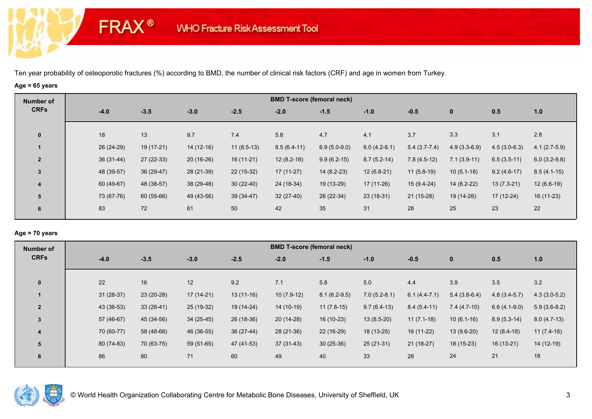# **Age = 65 years**

**FRAX®** 

| Number of               |             |             |             |              |               | <b>BMD T-score (femoral neck)</b> |                |                |                |                |                |
|-------------------------|-------------|-------------|-------------|--------------|---------------|-----------------------------------|----------------|----------------|----------------|----------------|----------------|
| <b>CRFs</b>             | $-4.0$      | $-3.5$      | $-3.0$      | $-2.5$       | $-2.0$        | $-1.5$                            | $-1.0$         | $-0.5$         | $\mathbf{0}$   | 0.5            | 1.0            |
| $\mathbf{0}$            | 18          | 13          | 9.7         | 7.4          | 5.8           | 4.7                               | 4.1            | 3.7            | 3.3            | 3.1            | 2.8            |
|                         | 26 (24-29)  | $19(17-21)$ | $14(12-16)$ | $11(8.5-13)$ | $8.5(6.4-11)$ | $6.9(5.0-9.0)$                    | $6.0(4.2-8.1)$ | $5.4(3.7-7.4)$ | $4.9(3.3-6.9)$ | $4.5(3.0-6.3)$ | $4.1(2.7-5.9)$ |
| $\overline{2}$          | $36(31-44)$ | $27(22-33)$ | $20(16-26)$ | $16(11-21)$  | $12(8.2-18)$  | $9.9(6.2-15)$                     | $8.7(5.2-14)$  | $7.8(4.5-12)$  | $7.1(3.9-11)$  | $6.5(3.5-11)$  | $6.0(3.2-9.8)$ |
| 3                       | 48 (39-57)  | $36(29-47)$ | 28 (21-39)  | $22(15-32)$  | $17(11-27)$   | $14(8.2-23)$                      | $12(6.8-21)$   | $11(5.8-19)$   | $10(5.1-18)$   | $9.2(4.6-17)$  | $8.5(4.1-15)$  |
| $\overline{\mathbf{4}}$ | 60 (49-67)  | 48 (38-57)  | 38 (29-48)  | $30(22-40)$  | 24 (18-34)    | 19 (13-29)                        | 17 (11-26)     | $15(9.4-24)$   | $14(8.2-22)$   | $13(7.3-21)$   | $12(6.6-19)$   |
| 5                       | 73 (67-76)  | 60 (55-66)  | 49 (43-56)  | $39(34-47)$  | $32(27-40)$   | 26 (22-34)                        | $23(18-31)$    | $21(15-28)$    | 19 (14-26)     | 17 (12-24)     | 16 (11-23)     |
| 6                       | 83          | 72          | 61          | 50           | 42            | 35                                | 31             | 28             | 25             | 23             | 22             |

### **Age = 70 years**

| Number of      |             |             |             |             |              | <b>BMD T-score (femoral neck)</b> |                |                |                |                |                |
|----------------|-------------|-------------|-------------|-------------|--------------|-----------------------------------|----------------|----------------|----------------|----------------|----------------|
| <b>CRFs</b>    | $-4.0$      | $-3.5$      | $-3.0$      | $-2.5$      | $-2.0$       | $-1.5$                            | $-1.0$         | $-0.5$         | $\mathbf 0$    | 0.5            | 1.0            |
|                |             |             |             |             |              |                                   |                |                |                |                |                |
| $\mathbf{0}$   | 22          | 16          | 12          | 9.2         | 7.1          | 5.8                               | 5.0            | 4.4            | 3.9            | 3.5            | 3.2            |
|                | $31(28-37)$ | 23 (20-28)  | 17 (14-21)  | $13(11-16)$ | $10(7.9-12)$ | $8.1(6.2-9.5)$                    | $7.0(5.2-8.1)$ | $6.1(4.4-7.1)$ | $5.4(3.8-6.4)$ | $4.8(3.4-5.7)$ | $4.3(3.0-5.2)$ |
| $\overline{2}$ | 43 (36-53)  | $33(26-41)$ | $25(19-32)$ | 19 (14-24)  | $14(10-19)$  | $11(7.8-15)$                      | $9.7(6.4-13)$  | $8.4(5.4-11)$  | $7.4(4.7-10)$  | $6.6(4.1-9.0)$ | $5.9(3.6-8.2)$ |
| $\overline{3}$ | 57 (46-67)  | 45 (34-56)  | $34(25-45)$ | 26 (18-36)  | $20(14-28)$  | 16 (10-23)                        | $13(8.5-20)$   | $11(7.1-18)$   | $10(6.1-16)$   | $8.9(5.3-14)$  | $8.0(4.7-13)$  |
| 4              | 70 (60-77)  | 58 (48-66)  | 46 (36-55)  | $36(27-44)$ | 28 (21-36)   | 22 (16-29)                        | 18 (13-25)     | 16 (11-22)     | 13 (9.6-20)    | $12(8.4-18)$   | $11(7.4-16)$   |
| 5              | 80 (74-83)  | 70 (63-75)  | 59 (51-65)  | 47 (41-53)  | $37(31-43)$  | $30(25-36)$                       | $25(21-31)$    | $21(18-27)$    | $18(15-23)$    | $16(13-21)$    | 14 (12-19)     |
| 6              | 86          | 80          | 71          | 60          | 49           | 40                                | 33             | 28             | 24             | 21             | 18             |
|                |             |             |             |             |              |                                   |                |                |                |                |                |

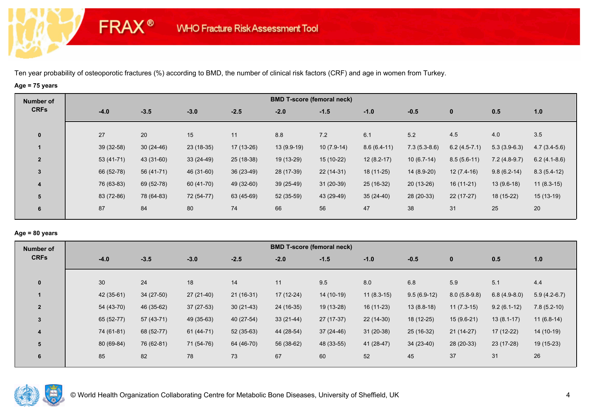# **Age = 75 years**

**FRAX®** 

| Number of               |            |             |             |             |             | <b>BMD T-score (femoral neck)</b> |               |                |                |                |                |
|-------------------------|------------|-------------|-------------|-------------|-------------|-----------------------------------|---------------|----------------|----------------|----------------|----------------|
| <b>CRFs</b>             | $-4.0$     | $-3.5$      | $-3.0$      | $-2.5$      | $-2.0$      | $-1.5$                            | $-1.0$        | $-0.5$         | $\mathbf 0$    | 0.5            | 1.0            |
|                         | 27         | 20          |             |             | 8.8         | 7.2                               |               | 5.2            | 4.5            |                |                |
| $\bf{0}$                |            |             | 15          | 11          |             |                                   | 6.1           |                |                | 4.0            | 3.5            |
|                         | 39 (32-58) | $30(24-46)$ | $23(18-35)$ | $17(13-26)$ | 13 (9.9-19) | $10(7.9-14)$                      | $8.6(6.4-11)$ | $7.3(5.3-8.6)$ | $6.2(4.5-7.1)$ | $5.3(3.9-6.3)$ | $4.7(3.4-5.6)$ |
| $\overline{2}$          | 53 (41-71) | 43 (31-60)  | $33(24-49)$ | 25 (18-38)  | 19 (13-29)  | $15(10-22)$                       | $12(8.2-17)$  | $10(6.7-14)$   | $8.5(5.6-11)$  | $7.2(4.8-9.7)$ | $6.2(4.1-8.6)$ |
| 3                       | 66 (52-78) | 56 (41-71)  | 46 (31-60)  | $36(23-49)$ | 28 (17-39)  | $22(14-31)$                       | $18(11-25)$   | 14 (8.9-20)    | $12(7.4-16)$   | $9.8(6.2-14)$  | $8.3(5.4-12)$  |
| $\overline{\mathbf{4}}$ | 76 (63-83) | 69 (52-78)  | 60 (41-70)  | 49 (32-60)  | $39(25-49)$ | $31(20-39)$                       | 25 (16-32)    | $20(13-26)$    | $16(11-21)$    | $13(9.6-18)$   | $11(8.3-15)$   |
| 5                       | 83 (72-86) | 78 (64-83)  | 72 (54-77)  | 63 (45-69)  | 52 (35-59)  | 43 (29-49)                        | $35(24-40)$   | 28 (20-33)     | $22(17-27)$    | 18 (15-22)     | $15(13-19)$    |
| 6                       | 87         | 84          | 80          | 74          | 66          | 56                                | 47            | 38             | 31             | 25             | 20             |
|                         |            |             |             |             |             |                                   |               |                |                |                |                |

### **Age = 80 years**

| Number of      |            |             |             |             |             | <b>BMD T-score (femoral neck)</b> |              |               |                |                |                |
|----------------|------------|-------------|-------------|-------------|-------------|-----------------------------------|--------------|---------------|----------------|----------------|----------------|
| <b>CRFs</b>    | $-4.0$     | $-3.5$      | $-3.0$      | $-2.5$      | $-2.0$      | $-1.5$                            | $-1.0$       | $-0.5$        | $\mathbf 0$    | 0.5            | 1.0            |
|                |            |             |             |             |             |                                   |              |               |                |                |                |
| $\mathbf{0}$   | 30         | 24          | 18          | 14          | 11          | 9.5                               | 8.0          | 6.8           | 5.9            | 5.1            | 4.4            |
|                | 42 (35-61) | $34(27-50)$ | $27(21-40)$ | $21(16-31)$ | 17 (12-24)  | 14 (10-19)                        | $11(8.3-15)$ | $9.5(6.9-12)$ | $8.0(5.8-9.8)$ | $6.8(4.9-8.0)$ | $5.9(4.2-6.7)$ |
| $\overline{2}$ | 54 (43-70) | 46 (35-62)  | $37(27-53)$ | $30(21-43)$ | 24 (16-35)  | 19 (13-28)                        | $16(11-23)$  | $13(8.8-18)$  | $11(7.3-15)$   | $9.2(6.1-12)$  | $7.8(5.2-10)$  |
| $\overline{3}$ | 65 (52-77) | 57 (43-71)  | 49 (35-63)  | 40 (27-54)  | $33(21-44)$ | $27(17-37)$                       | $22(14-30)$  | 18 (12-25)    | $15(9.6-21)$   | $13(8.1-17)$   | $11(6.8-14)$   |
| 4              | 74 (61-81) | 68 (52-77)  | 61 (44-71)  | $52(35-63)$ | 44 (28-54)  | $37(24-46)$                       | $31(20-38)$  | 25 (16-32)    | $21(14-27)$    | $17(12-22)$    | 14 (10-19)     |
| 5              | 80 (69-84) | 76 (62-81)  | 71 (54-76)  | 64 (46-70)  | 56 (38-62)  | 48 (33-55)                        | 41 (28-47)   | $34(23-40)$   | 28 (20-33)     | 23 (17-28)     | $19(15-23)$    |
| 6              | 85         | 82          | 78          | 73          | 67          | 60                                | 52           | 45            | 37             | 31             | 26             |
|                |            |             |             |             |             |                                   |              |               |                |                |                |